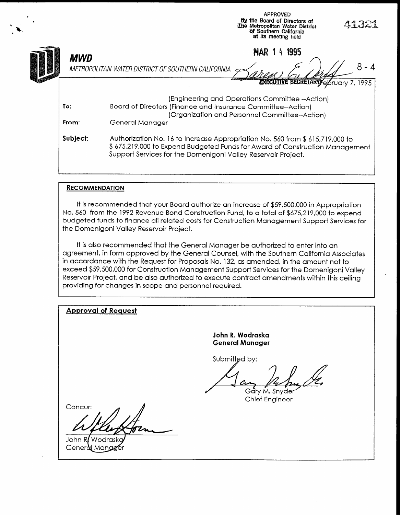|              | <b>APPROVED</b><br>By the Board of Directors of<br>41321<br>The Metropolitan Water District<br>of Southern California<br>at its meeting held                                                                                  |  |  |  |  |  |
|--------------|-------------------------------------------------------------------------------------------------------------------------------------------------------------------------------------------------------------------------------|--|--|--|--|--|
| MWD          | 141995<br><b>MAR</b><br>8<br>METROPOLITAN WATER DISTRICT OF SOUTHERN CALIFORNIA<br><b>EXECUTIVE SECRETARY ELSTUGIV</b><br>1995                                                                                                |  |  |  |  |  |
| To:<br>From: | (Engineering and Operations Committee --Action)<br>Board of Directors (Finance and Insurance Committee--Action)<br>(Organization and Personnel Committee--Action)<br>General Manager                                          |  |  |  |  |  |
| Subject:     | Authorization No. 16 to Increase Appropriation No. 560 from \$615,719,000 to<br>\$ 675,219,000 to Expend Budgeted Funds for Award of Construction Management<br>Support Services for the Domenigoni Valley Reservoir Project. |  |  |  |  |  |

#### **RECOMMENDATION**

-, I-.

It is recommended that your Board authorize an increase of \$59,500,000 in Appropriation No. 560 from the 1992 Revenue Bond Construction Fund, to a total of \$675,219,000 to expend budgeted funds to finance all related costs for Construction Management Support Services for the Domenigoni Valley Reservoir Project.

It is also recommended that the General Manager be authorized to enter into an agreement, in form approved by the General Counsel, with the Southern California Associates in accordance with the Request for Proposals No. 132, as amended, in the amount not to exceed \$59,500,000 for Construction Management Support Services for the Domenigoni Valley Reservoir Project, and be also authorized to execute contract amendments within this ceiling providing for changes in scope and personnel required.

| <b>Approval of Request</b>         |                                            |
|------------------------------------|--------------------------------------------|
|                                    | John R. Wodraska<br><b>General Manager</b> |
|                                    | Submitted by:                              |
|                                    |                                            |
| Concur:                            | Gary M. Snyder<br>Chief Engineer           |
|                                    |                                            |
| John R/Wodraskg<br>General Mangger |                                            |
|                                    |                                            |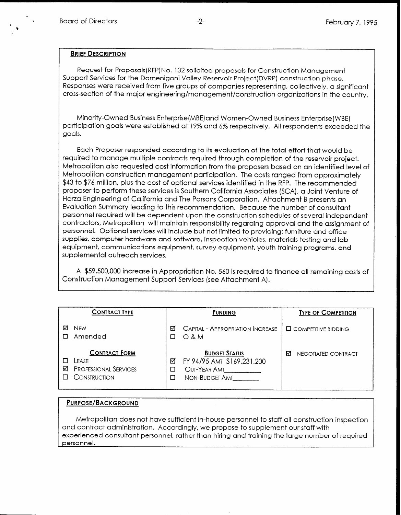'

#### BRIEF DESCRIPTION

Request for Proposals( RFP) No. 132 solicited proposals for Construction Management Support Services for the Domenigoni Valley Reservoir Project(DVRP) construction phase. Responses were received from five groups of companies representing, collectively, a significant cross-section of the major engineering/management/construction organizations in the country.

Minority-Owned Business Enterprise(MBE)and Women-Owned Business Enterprise(WBE) participation goals were established at 19% and 6% respectively. All respondents exceeded the goals.

Each Proposer responded according to its evaluation of the total effort that would be required to manage multiple contracts required through completion of the reservoir project. Metropolitan also requested cost information from the proposers based on an identified level of Metropolitan construction management participation. The costs ranged from approximately \$43 to \$76 million, plus the cost of optional services identified in the RFP. The recommended proposer to perform these services is Southern California Associates (SCA), a Joint Venture of Harza Engineering of California and The Parsons Corporation. Attachment B presents an Evaluation Summary leading to this recommendation. Because the number of consultant personnel required will be dependent upon the construction schedules of several independent contractors, Metropolitan will maintain responsibility regarding approval and the assignment of personnel. Optional services will include but not limited to providing: furniture and office supplies, computer hardware and software, inspection vehicles, materials testing and lab equipment, communications equipment, survey equipment, youth training programs, and supplemental outreach services.

A \$59,500,000 increase in Appropriation No. 560 is required to finance all remaining costs of Construction Management Support Services (see Attachment A).

|   | <b>CONTRACT TYPE</b>                                                           |        | <b>FUNDING</b>                                                                       | <b>TYPE OF COMPETITION</b>    |
|---|--------------------------------------------------------------------------------|--------|--------------------------------------------------------------------------------------|-------------------------------|
| М | <b>NEW</b><br>Amended                                                          | ☑      | CAPITAL - APPROPRIATION INCREASE<br>$O$ & M                                          | <b>LA COMPETITIVE BIDDING</b> |
| М | <b>CONTRACT FORM</b><br>LEASE.<br><b>PROFESSIONAL SERVICES</b><br>CONSTRUCTION | ☑<br>□ | <b>BUDGET STATUS</b><br>FY 94/95 AMT \$169,231,200<br>Out-Year Amt<br>NON-BUDGET AMT | М<br>NEGOTIATED CONTRACT      |

#### PURPOSE/BACKGROUND

Metropolitan does not have sufficient in-house personnel to staff all construction inspection and contract administration. Accordingly, we propose to supplement our staff with experienced consultant personnel, rather than hiring and training the large number of required personnel.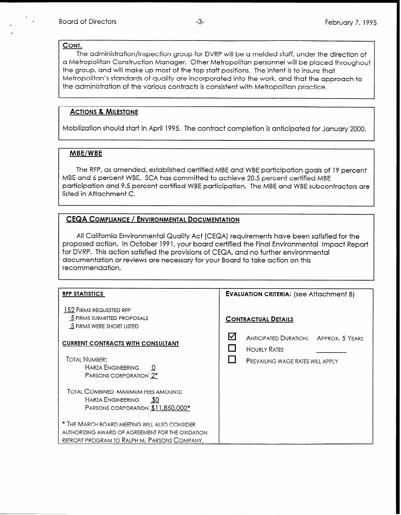#### CONT.

The administration/inspection group for DVRP will be a melded staff, under the direction of a Metropolitan Construction Manager. Other Metropolitan personnel will be placed throughout the group, and will make up most of the top staff positions. The intent is to insure that Metropolitan's standards of quality are incorporated into the work, and that the approach to the administration of the various contracts is consistent with Metropolitan practice.

#### ACTIONS & MILESTONE

Mobilization should start in April 1995. The contract completion is anticipated for January 2000.

#### MBE/WBE

The RFP, as amended, established certified MBE and WBE participation goals of 19 percent MBE and 6 percent WBE. SCA has committed to achieve 20.5 percent certified MBE participation and 9.5 percent certified WBE participation. The MBE and WBE subcontractors are listed in Attachment C.

#### CEQA COMPLIANCE / ENVIRONMENTAL DOCUMENTATION

All California Environmental Quality Act (CEQA) requirements have been satisfied for the proposed action. In October 1991, your board certified the Final Environmental Impact Report for DVRP. This action satisfied the provisions of CEQA, and no further environmental documentation or reviews are necessary for your Board to take action on this recommendation.

| <b>RFP STATISTICS</b>                                                                                                                                                                                                                                                | <b>EVALUATION CRITERIA:</b> (see Attachment B)                                                                      |  |  |
|----------------------------------------------------------------------------------------------------------------------------------------------------------------------------------------------------------------------------------------------------------------------|---------------------------------------------------------------------------------------------------------------------|--|--|
| 152 FIRMS REQUESTED RFP<br>5 FIRMS SUBMITTED PROPOSALS<br>5 FIRMS WERE SHORT LISTED                                                                                                                                                                                  | <b>CONTRACTUAL DETAILS</b>                                                                                          |  |  |
| <b>CURRENT CONTRACTS WITH CONSULTANT</b><br><b>TOTAL NUMBER:</b><br><b>HARZA ENGINEERING</b><br>PARSONS CORPORATION 2*                                                                                                                                               | 何<br><b>ANTICIPATED DURATION: APPROX. 5 YEARS</b><br><b>HOURLY RATES</b><br><b>PREVAILING WAGE RATES WILL APPLY</b> |  |  |
| TOTAL COMBINED MAXIMUM FEES AMOUNTS:<br>HARZA ENGINEERING<br>- \$0<br>PARSONS CORPORATION \$11,850,000*<br>$^{\ast}$ The March board meeting will also consider<br>AUTHORIZING AWARD OF AGREEMENT FOR THE OXIDATION<br>RETROFIT PROGRAM TO RALPH M. PARSONS COMPANY. |                                                                                                                     |  |  |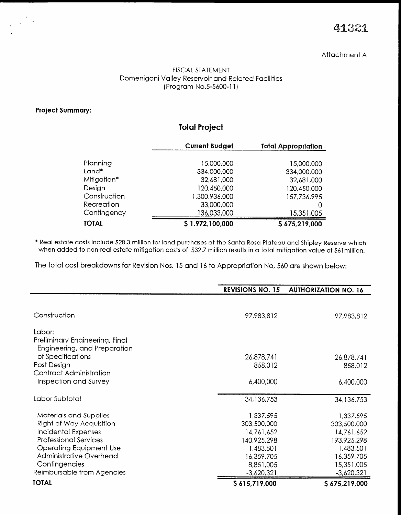## 41321

#### Attachment A

#### FISCAL STATEMENT Domenigoni Valley Reservoir and Related Facilities (Program No.5-5600-11)

#### Project Summary:

## Total Project

|              | <b>Current Budget</b> | <b>Total Appropriation</b> |
|--------------|-----------------------|----------------------------|
| Planning     | 15,000,000            | 15,000,000                 |
| Land*        | 334,000,000           | 334,000,000                |
| Mitigation*  | 32,681,000            | 32,681,000                 |
| Design       | 120,450,000           | 120,450,000                |
| Construction | 1,300,936,000         | 157,736,995                |
| Recreation   | 33,000,000            | 0                          |
| Contingency  | 136,033,000           | 15,351,005                 |
| TOTAL        | \$1,972,100,000       | \$675,219,000              |

\* Real estate costs include \$28.3 million for land purchases at the Santa Rosa Plateau and Shipley Reserve which when added to non-real estate minimum conductors on the same was a faced and simpley reserve which

The total cost breakdowns for Revision Nos. 15 and 16 to Appropriation No, 560 are shown below:

|                                                                | <b>REVISIONS NO. 15</b> | <b>AUTHORIZATION NO. 16</b> |
|----------------------------------------------------------------|-------------------------|-----------------------------|
|                                                                |                         |                             |
| Construction                                                   | 97.983.812              | 97,983,812                  |
| Labor:                                                         |                         |                             |
| Preliminary Engineering, Final<br>Engineering, and Preparation |                         |                             |
| of Specifications                                              | 26,878,741              | 26,878,741                  |
| Post Design                                                    | 858,012                 | 858,012                     |
| Contract Administration                                        |                         |                             |
| Inspection and Survey                                          | 6,400,000               | 6,400,000                   |
|                                                                |                         |                             |
| Labor Subtotal                                                 | 34,136,753              | 34, 136, 753                |
| <b>Materials and Supplies</b>                                  | 1,337,595               | 1,337,595                   |
| Right of Way Acquisition                                       | 303,500,000             | 303,500,000                 |
| Incidental Expenses                                            | 14,761,652              | 14,761,652                  |
| <b>Professional Services</b>                                   | 140,925,298             | 193,925,298                 |
| <b>Operating Equipment Use</b>                                 | 1,483,501               | 1,483,501                   |
| Administrative Overhead                                        | 16,359,705              | 16,359,705                  |
| Contingencies                                                  | 8,851,005               | 15,351,005                  |
| Reimbursable from Agencies                                     | $-3,620,321$            | $-3,620,321$                |
| <b>TOTAL</b>                                                   | \$615,719,000           | \$675,219,000               |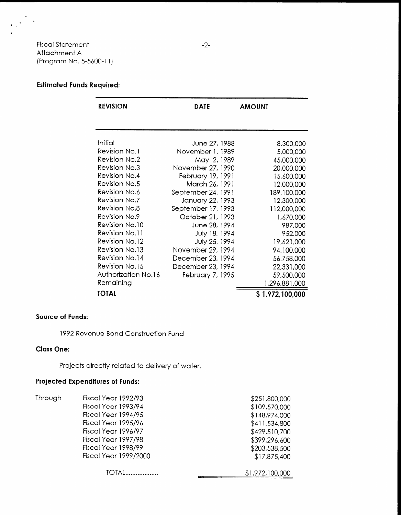Fiscal Statement Attachment A (Program No. 5-5600-l 1)

### Estimated Funds Required:

| <b>REVISION</b>       | <b>DATE</b>        | <b>AMOUNT</b>   |
|-----------------------|--------------------|-----------------|
|                       |                    |                 |
| Initial               | June 27, 1988      | 8,300,000       |
| Revision No.1         | November 1, 1989   | 5,000,000       |
| Revision No.2         | May 2, 1989        | 45,000,000      |
| Revision No.3         | November 27, 1990  | 20,000,000      |
| Revision No.4         | February 19, 1991  | 15,600,000      |
| Revision No.5         | March 26, 1991     | 12,000,000      |
| <b>Revision No.6</b>  | September 24, 1991 | 189,100,000     |
| Revision No.7         | January 22, 1993   | 12,300,000      |
| Revision No.8         | September 17, 1993 | 112,000,000     |
| <b>Revision No.9</b>  | October 21, 1993   | 1,670,000       |
| Revision No.10        | June 28, 1994      | 987,000         |
| Revision No.11        | July 18, 1994      | 952,000         |
| <b>Revision No.12</b> | July 25, 1994      | 19,621,000      |
| Revision No.13        | November 29, 1994  | 94,100,000      |
| Revision No.14        | December 23, 1994  | 56,758,000      |
| Revision No.15        | December 23, 1994  | 22,331,000      |
| Authorization No.16   | February 7, 1995   | 59,500,000      |
| Remaining             |                    | 1,296,881,000   |
| <b>TOTAL</b>          |                    | \$1,972,100,000 |

#### Source of Funds:

1992 Revenue Bond Construction Fund

#### Class One:

Projects directly related to delivery of water.

## Projected Expenditures of Funds:

| Through | Fiscal Year 1992/93          | \$251,800,000   |
|---------|------------------------------|-----------------|
|         | Fiscal Year 1993/94          | \$109,570,000   |
|         | Fiscal Year 1994/95          | \$148,974,000   |
|         | Fiscal Year 1995/96          | \$411,534,800   |
|         | Fiscal Year 1996/97          | \$429,510,700   |
|         | Fiscal Year 1997/98          | \$399,296,600   |
|         | Fiscal Year 1998/99          | \$203,538,500   |
|         | <b>Fiscal Year 1999/2000</b> | \$17,875,400    |
|         |                              |                 |
|         |                              | \$1,972,100,000 |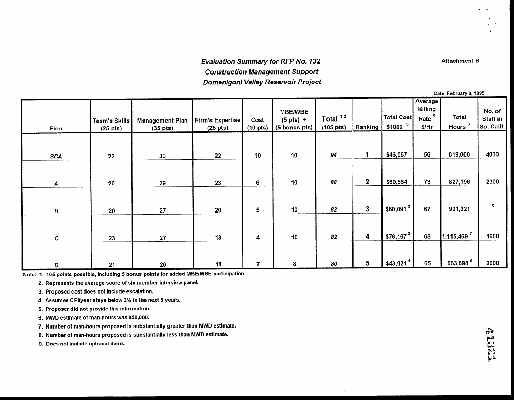## Evaluation Summary for RFP No. 132 Construction Management Support Domenigoni Valley Reservoir Project

Date: February 9, 1995 - **Average Billing** No. of MBENVBE Total  $1,2$ Total Cost Rate<sup>5</sup> Total Staff in  $(5 \text{ pts}) +$ **Management Plan** Firm's Expertise cost **Team's Skills** Hours<sup>6</sup>  $$1000$ <sup>9</sup> So. Calif. (105 pts) \$/Hr (10 pts) Firm  $(25 \text{ pts})$   $(35 \text{ pts})$ (5 bonus pts) (25 pts) Ran king 4000 94 10 10 22 10 10 94 1 \$46,067 56 819,000 SCA | 22 | 30 88 10 88 2 \$60,554 73 827,196 23 | 6 | 10 | 88 | 2 | \$60,554 13 | 821,196 | 2300 A 1 20 1 29 5 10 |  $82 \parallel 3 \parallel \frac{1}{100,091^3}$  67 |  $901,321$ 20  $5<sup>5</sup>$ B 20 20 27 4 | 10 | 82 | 4 | \$76,167<sup>3</sup> | 68 | 1,115,469<sup>7</sup> 1600 18 C 23 27 --  $7 \t 8 \t 80 \t 30 \t 5 \t $43,021^4$  65 663,698<sup>8</sup> D 21 26 18 2000 -

Note: 1. 105 points possible, including 5 bonus points for added MBE/WBE participation.

2. Represents the average score of six member interview panel.

3. Proposed cost does not Include escalation.

4. Assumes CPllyear stays below 2% in the next 5 years.

5. Proposer did not provide this information.

6. MWD estimate of man-hours was 850,000.

7. Number of man-hours proposed is substantially greater than MWD estimate.

8. Number of man-hours proposed is substantially less than MWD estimate.

9. Does not include optional items.

41.341

Attachment B